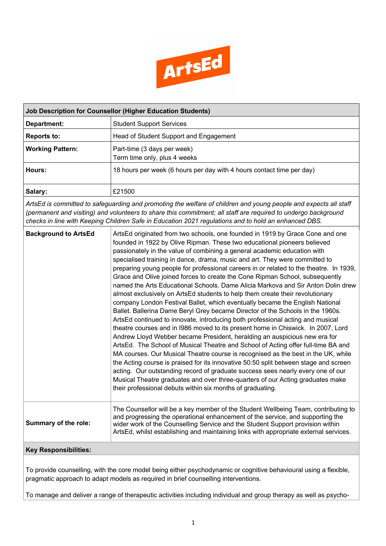

| <b>Job Description for Counsellor (Higher Education Students)</b>                                                                                                                                                                                                                                                                          |                                                                                                                                                                                                                                                                                                                                                                                                              |  |  |  |
|--------------------------------------------------------------------------------------------------------------------------------------------------------------------------------------------------------------------------------------------------------------------------------------------------------------------------------------------|--------------------------------------------------------------------------------------------------------------------------------------------------------------------------------------------------------------------------------------------------------------------------------------------------------------------------------------------------------------------------------------------------------------|--|--|--|
| Department:                                                                                                                                                                                                                                                                                                                                | <b>Student Support Services</b>                                                                                                                                                                                                                                                                                                                                                                              |  |  |  |
| <b>Reports to:</b>                                                                                                                                                                                                                                                                                                                         | Head of Student Support and Engagement                                                                                                                                                                                                                                                                                                                                                                       |  |  |  |
| <b>Working Pattern:</b>                                                                                                                                                                                                                                                                                                                    | Part-time (3 days per week)<br>Term time only, plus 4 weeks                                                                                                                                                                                                                                                                                                                                                  |  |  |  |
| Hours:                                                                                                                                                                                                                                                                                                                                     | 18 hours per week (6 hours per day with 4 hours contact time per day)                                                                                                                                                                                                                                                                                                                                        |  |  |  |
| Salary:                                                                                                                                                                                                                                                                                                                                    | £21500                                                                                                                                                                                                                                                                                                                                                                                                       |  |  |  |
| ArtsEd is committed to safeguarding and promoting the welfare of children and young people and expects all staff<br>(permanent and visiting) and volunteers to share this commitment; all staff are required to undergo background<br>checks in line with Keeping Children Safe in Education 2021 regulations and to hold an enhanced DBS. |                                                                                                                                                                                                                                                                                                                                                                                                              |  |  |  |
| <b>Background to ArtsEd</b>                                                                                                                                                                                                                                                                                                                | ArtsEd originated from two schools, one founded in 1919 by Grace Cone and one<br>founded in 1922 by Olive Ripman. These two educational pioneers believed<br>passionately in the value of combining a general academic education with<br>specialised training in dance, drama, music and art. They were committed to<br>nreparing young people for professional careers in or related to the theatre In 1939 |  |  |  |

preparing young people for professional careers in or related to the theatre. In 1939, Grace and Olive joined forces to create the Cone Ripman School, subsequently named the Arts Educational Schools. Dame Alicia Markova and Sir Anton Dolin drew almost exclusively on ArtsEd students to help them create their revolutionary company London Festival Ballet, which eventually became the English National Ballet. Ballerina Dame Beryl Grey became Director of the Schools in the 1960s. ArtsEd continued to innovate, introducing both professional acting and musical theatre courses and in I986 moved to its present home in Chiswick. In 2007, Lord Andrew Lloyd Webber became President, heralding an auspicious new era for ArtsEd. The School of Musical Theatre and School of Acting offer full-time BA and MA courses. Our Musical Theatre course is recognised as the best in the UK, while the Acting course is praised for its innovative 50:50 split between stage and screen acting. Our outstanding record of graduate success sees nearly every one of our Musical Theatre graduates and over three-quarters of our Acting graduates make their professional debuts within six months of graduating. **Summary of the role:** The Counsellor will be a key member of the Student Wellbeing Team, contributing to and progressing the operational enhancement of the service, and supporting the wider work of the Counselling Service and the Student Support provision within

## **Key Responsibilities:**

To provide counselling, with the core model being either psychodynamic or cognitive behavioural using a flexible, pragmatic approach to adapt models as required in brief counselling interventions.

ArtsEd, whilst establishing and maintaining links with appropriate external services.

To manage and deliver a range of therapeutic activities including individual and group therapy as well as psycho-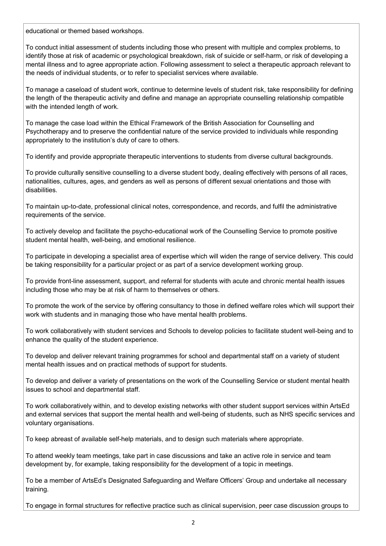educational or themed based workshops.

To conduct initial assessment of students including those who present with multiple and complex problems, to identify those at risk of academic or psychological breakdown, risk of suicide or self-harm, or risk of developing a mental illness and to agree appropriate action. Following assessment to select a therapeutic approach relevant to the needs of individual students, or to refer to specialist services where available.

To manage a caseload of student work, continue to determine levels of student risk, take responsibility for defining the length of the therapeutic activity and define and manage an appropriate counselling relationship compatible with the intended length of work.

To manage the case load within the Ethical Framework of the British Association for Counselling and Psychotherapy and to preserve the confidential nature of the service provided to individuals while responding appropriately to the institution's duty of care to others.

To identify and provide appropriate therapeutic interventions to students from diverse cultural backgrounds.

To provide culturally sensitive counselling to a diverse student body, dealing effectively with persons of all races, nationalities, cultures, ages, and genders as well as persons of different sexual orientations and those with disabilities.

To maintain up-to-date, professional clinical notes, correspondence, and records, and fulfil the administrative requirements of the service.

To actively develop and facilitate the psycho-educational work of the Counselling Service to promote positive student mental health, well-being, and emotional resilience.

To participate in developing a specialist area of expertise which will widen the range of service delivery. This could be taking responsibility for a particular project or as part of a service development working group.

To provide front-line assessment, support, and referral for students with acute and chronic mental health issues including those who may be at risk of harm to themselves or others.

To promote the work of the service by offering consultancy to those in defined welfare roles which will support their work with students and in managing those who have mental health problems.

To work collaboratively with student services and Schools to develop policies to facilitate student well-being and to enhance the quality of the student experience.

To develop and deliver relevant training programmes for school and departmental staff on a variety of student mental health issues and on practical methods of support for students.

To develop and deliver a variety of presentations on the work of the Counselling Service or student mental health issues to school and departmental staff.

To work collaboratively within, and to develop existing networks with other student support services within ArtsEd and external services that support the mental health and well-being of students, such as NHS specific services and voluntary organisations.

To keep abreast of available self-help materials, and to design such materials where appropriate.

To attend weekly team meetings, take part in case discussions and take an active role in service and team development by, for example, taking responsibility for the development of a topic in meetings.

To be a member of ArtsEd's Designated Safeguarding and Welfare Officers' Group and undertake all necessary training.

To engage in formal structures for reflective practice such as clinical supervision, peer case discussion groups to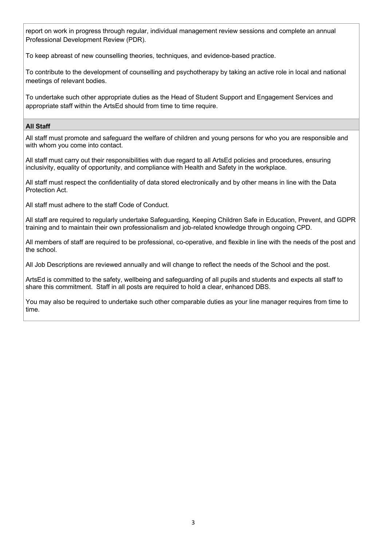report on work in progress through regular, individual management review sessions and complete an annual Professional Development Review (PDR).

To keep abreast of new counselling theories, techniques, and evidence-based practice.

To contribute to the development of counselling and psychotherapy by taking an active role in local and national meetings of relevant bodies.

To undertake such other appropriate duties as the Head of Student Support and Engagement Services and appropriate staff within the ArtsEd should from time to time require.

## **All Staff**

All staff must promote and safeguard the welfare of children and young persons for who you are responsible and with whom you come into contact.

All staff must carry out their responsibilities with due regard to all ArtsEd policies and procedures, ensuring inclusivity, equality of opportunity, and compliance with Health and Safety in the workplace.

All staff must respect the confidentiality of data stored electronically and by other means in line with the Data Protection Act.

All staff must adhere to the staff Code of Conduct.

All staff are required to regularly undertake Safeguarding, Keeping Children Safe in Education, Prevent, and GDPR training and to maintain their own professionalism and job-related knowledge through ongoing CPD.

All members of staff are required to be professional, co-operative, and flexible in line with the needs of the post and the school.

All Job Descriptions are reviewed annually and will change to reflect the needs of the School and the post.

ArtsEd is committed to the safety, wellbeing and safeguarding of all pupils and students and expects all staff to share this commitment. Staff in all posts are required to hold a clear, enhanced DBS.

You may also be required to undertake such other comparable duties as your line manager requires from time to time.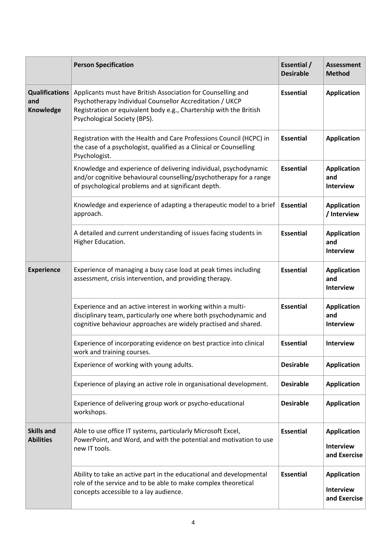|                                           | <b>Person Specification</b>                                                                                                                                                                                                    | Essential /<br><b>Desirable</b> | <b>Assessment</b><br><b>Method</b>                     |
|-------------------------------------------|--------------------------------------------------------------------------------------------------------------------------------------------------------------------------------------------------------------------------------|---------------------------------|--------------------------------------------------------|
| <b>Qualifications</b><br>and<br>Knowledge | Applicants must have British Association for Counselling and<br>Psychotherapy Individual Counsellor Accreditation / UKCP<br>Registration or equivalent body e.g., Chartership with the British<br>Psychological Society (BPS). | <b>Essential</b>                | <b>Application</b>                                     |
|                                           | Registration with the Health and Care Professions Council (HCPC) in<br>the case of a psychologist, qualified as a Clinical or Counselling<br>Psychologist.                                                                     | <b>Essential</b>                | <b>Application</b>                                     |
|                                           | Knowledge and experience of delivering individual, psychodynamic<br>and/or cognitive behavioural counselling/psychotherapy for a range<br>of psychological problems and at significant depth.                                  | <b>Essential</b>                | <b>Application</b><br>and<br><b>Interview</b>          |
|                                           | Knowledge and experience of adapting a therapeutic model to a brief<br>approach.                                                                                                                                               | <b>Essential</b>                | <b>Application</b><br>/ Interview                      |
|                                           | A detailed and current understanding of issues facing students in<br>Higher Education.                                                                                                                                         | <b>Essential</b>                | <b>Application</b><br>and<br><b>Interview</b>          |
| <b>Experience</b>                         | Experience of managing a busy case load at peak times including<br>assessment, crisis intervention, and providing therapy.                                                                                                     | <b>Essential</b>                | <b>Application</b><br>and<br><b>Interview</b>          |
|                                           | Experience and an active interest in working within a multi-<br>disciplinary team, particularly one where both psychodynamic and<br>cognitive behaviour approaches are widely practised and shared.                            | <b>Essential</b>                | <b>Application</b><br>and<br><b>Interview</b>          |
|                                           | Experience of incorporating evidence on best practice into clinical<br>work and training courses.                                                                                                                              | <b>Essential</b>                | <b>Interview</b>                                       |
|                                           | Experience of working with young adults.                                                                                                                                                                                       | <b>Desirable</b>                | <b>Application</b>                                     |
|                                           | Experience of playing an active role in organisational development.                                                                                                                                                            | <b>Desirable</b>                | <b>Application</b>                                     |
|                                           | Experience of delivering group work or psycho-educational<br>workshops.                                                                                                                                                        | <b>Desirable</b>                | <b>Application</b>                                     |
| <b>Skills and</b><br><b>Abilities</b>     | Able to use office IT systems, particularly Microsoft Excel,<br>PowerPoint, and Word, and with the potential and motivation to use<br>new IT tools.                                                                            | <b>Essential</b>                | <b>Application</b><br><b>Interview</b><br>and Exercise |
|                                           | Ability to take an active part in the educational and developmental<br>role of the service and to be able to make complex theoretical<br>concepts accessible to a lay audience.                                                | <b>Essential</b>                | <b>Application</b><br><b>Interview</b><br>and Exercise |